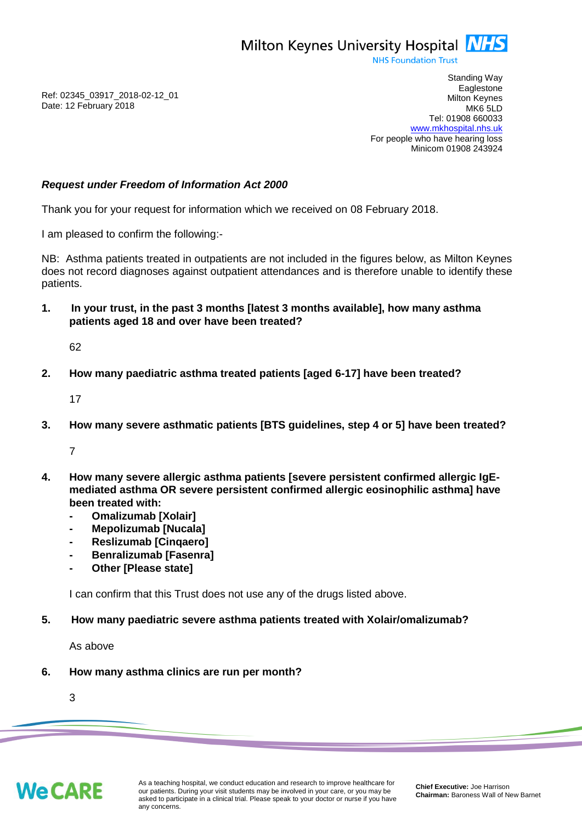

**NHS Foundation Trust** 

Ref: 02345\_03917\_2018-02-12\_01 Date: 12 February 2018

Standing Way **Eaglestone** Milton Keynes MK6 5LD Tel: 01908 660033 [www.mkhospital.nhs.uk](http://www.mkhospital.nhs.uk/) For people who have hearing loss Minicom 01908 243924

## *Request under Freedom of Information Act 2000*

Thank you for your request for information which we received on 08 February 2018.

I am pleased to confirm the following:-

NB: Asthma patients treated in outpatients are not included in the figures below, as Milton Keynes does not record diagnoses against outpatient attendances and is therefore unable to identify these patients.

**1. In your trust, in the past 3 months [latest 3 months available], how many asthma patients aged 18 and over have been treated?**

62

**2. How many paediatric asthma treated patients [aged 6-17] have been treated?**

17

**3. How many severe asthmatic patients [BTS guidelines, step 4 or 5] have been treated?**

7

- **4. How many severe allergic asthma patients [severe persistent confirmed allergic IgEmediated asthma OR severe persistent confirmed allergic eosinophilic asthma] have been treated with:**
	- **- Omalizumab [Xolair]**
	- **- Mepolizumab [Nucala]**
	- **- Reslizumab [Cinqaero]**
	- **- Benralizumab [Fasenra]**
	- **- Other [Please state]**

I can confirm that this Trust does not use any of the drugs listed above.

### **5. How many paediatric severe asthma patients treated with Xolair/omalizumab?**

As above

**6. How many asthma clinics are run per month?**

3